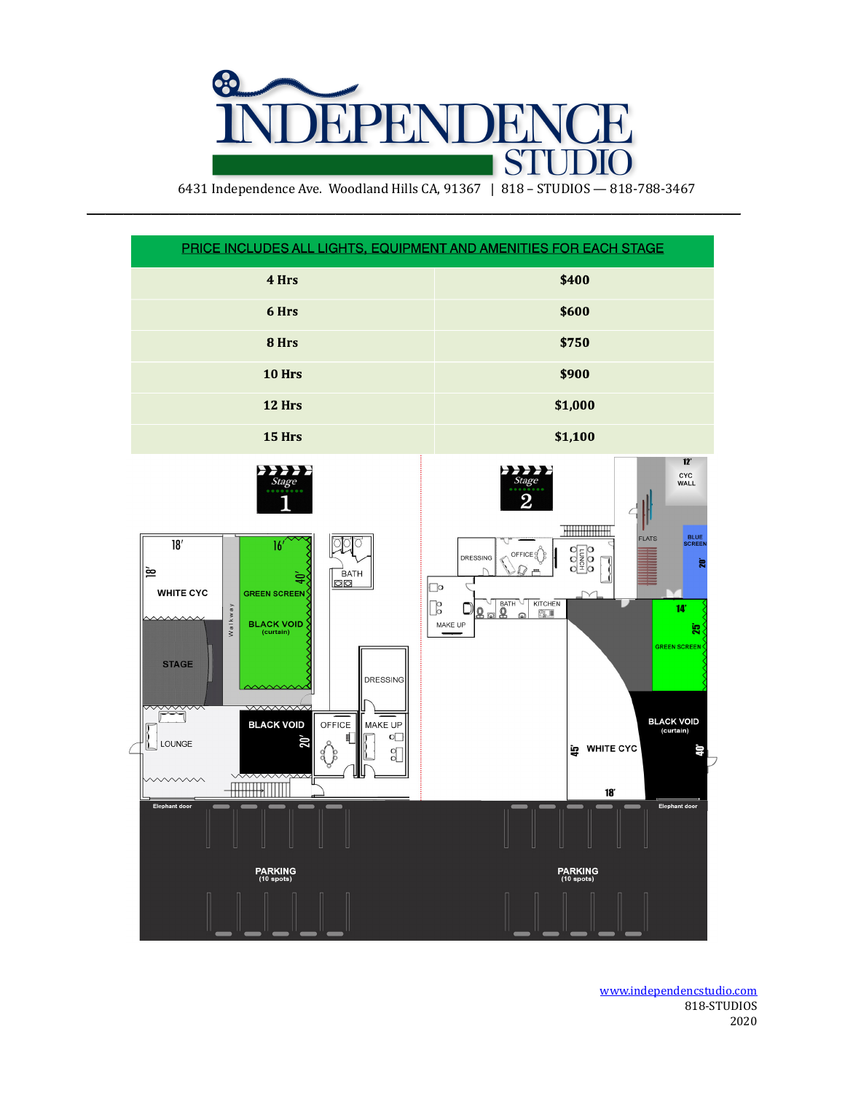

6431 Independence Ave. Woodland Hills CA, 91367 | 818 - STUDIOS - 818-788-3467

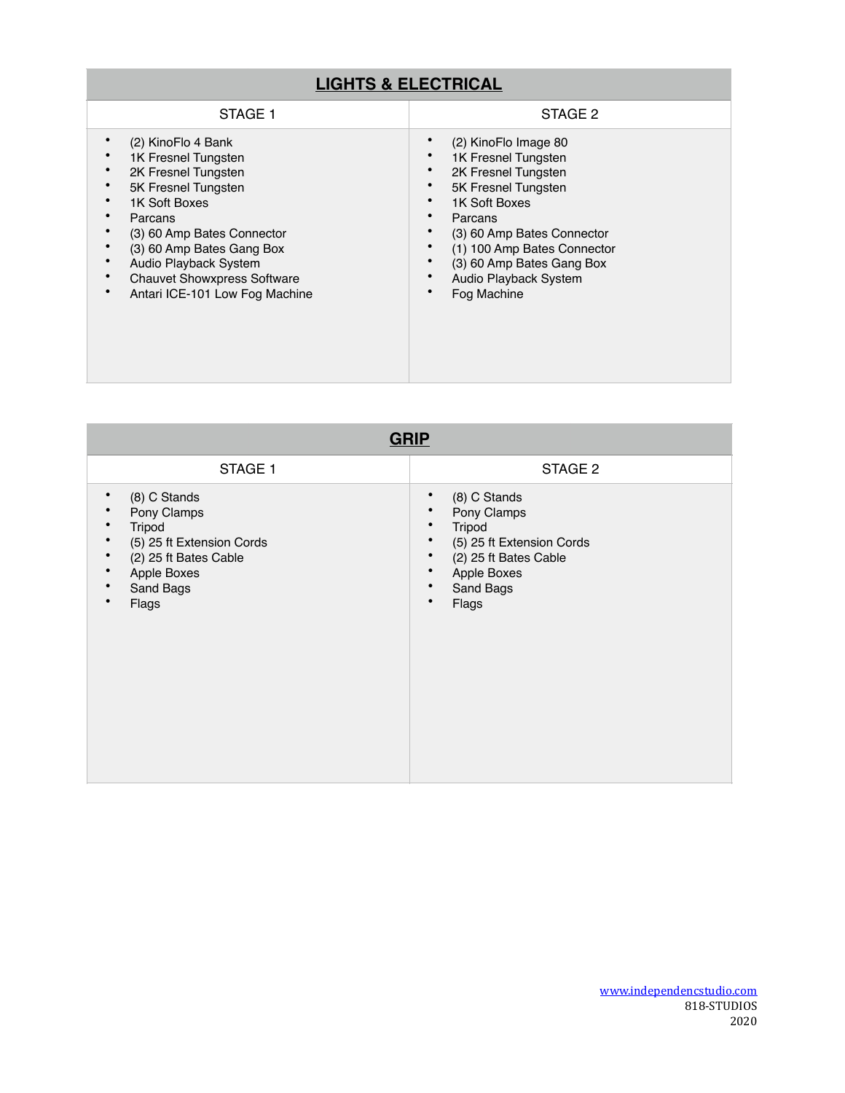## **LIGHTS & ELECTRICAL**

| STAGE 1                            | STAGE 2                     |
|------------------------------------|-----------------------------|
| (2) KinoFlo 4 Bank                 | (2) KinoFlo Image 80        |
| 1K Fresnel Tungsten                | 1K Fresnel Tungsten         |
| 2K Fresnel Tungsten                | 2K Fresnel Tungsten         |
| 5K Fresnel Tungsten                | 5K Fresnel Tungsten         |
| 1K Soft Boxes                      | 1K Soft Boxes               |
| Parcans                            | Parcans                     |
| (3) 60 Amp Bates Connector         | (3) 60 Amp Bates Connector  |
| (3) 60 Amp Bates Gang Box          | (1) 100 Amp Bates Connector |
| Audio Playback System              | (3) 60 Amp Bates Gang Box   |
| <b>Chauvet Showxpress Software</b> | Audio Playback System       |
| Antari ICE-101 Low Fog Machine     | Fog Machine                 |

| <b>GRIP</b>                                                                                                                           |                                                                                                                                                                 |  |
|---------------------------------------------------------------------------------------------------------------------------------------|-----------------------------------------------------------------------------------------------------------------------------------------------------------------|--|
| STAGE 1                                                                                                                               | STAGE 2                                                                                                                                                         |  |
| (8) C Stands<br>٠<br>Pony Clamps<br>Tripod<br>(5) 25 ft Extension Cords<br>(2) 25 ft Bates Cable<br>Apple Boxes<br>Sand Bags<br>Flags | (8) C Stands<br>$\bullet$<br>Pony Clamps<br>٠<br>Tripod<br>(5) 25 ft Extension Cords<br>(2) 25 ft Bates Cable<br>Apple Boxes<br>Sand Bags<br>$\bullet$<br>Flags |  |